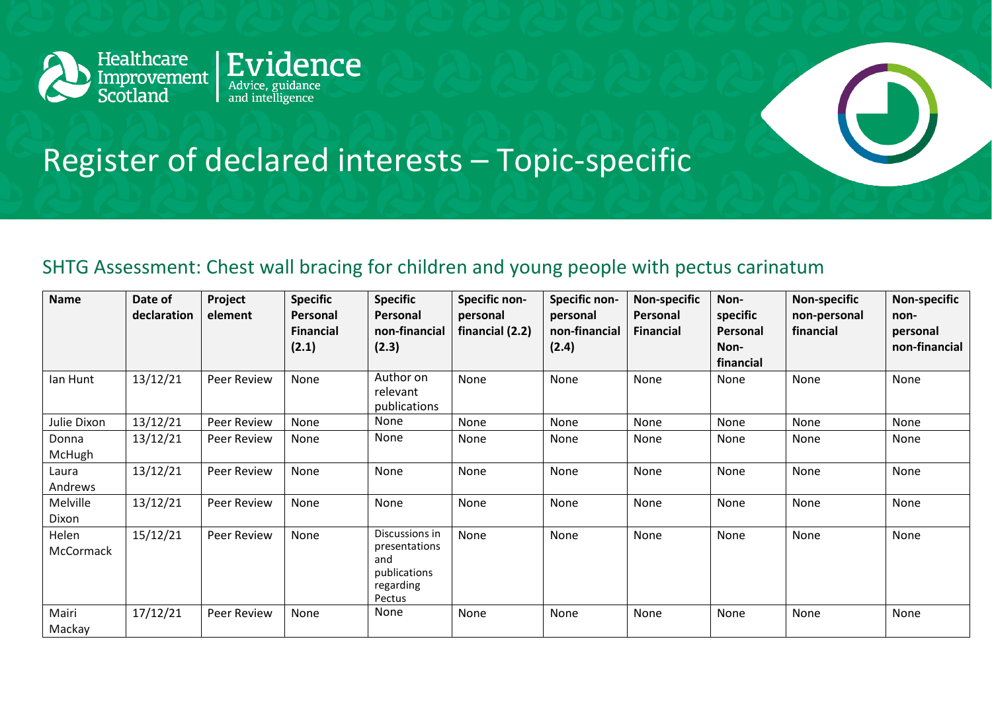

## Register of declared interests – Topic-specific

## SHTG Assessment: Chest wall bracing for children and young people with pectus carinatum

| <b>Name</b>        | Date of<br>declaration | Project<br>element | <b>Specific</b><br>Personal<br><b>Financial</b><br>(2.1) | <b>Specific</b><br>Personal<br>non-financial<br>(2.3)                         | <b>Specific non-</b><br>personal<br>financial (2.2) | Specific non-<br>personal<br>non-financial<br>(2.4) | <b>Non-specific</b><br>Personal<br><b>Financial</b> | Non-<br>specific<br><b>Personal</b><br>Non-<br>financial | <b>Non-specific</b><br>non-personal<br>financial | <b>Non-specific</b><br>non-<br>personal<br>non-financial |
|--------------------|------------------------|--------------------|----------------------------------------------------------|-------------------------------------------------------------------------------|-----------------------------------------------------|-----------------------------------------------------|-----------------------------------------------------|----------------------------------------------------------|--------------------------------------------------|----------------------------------------------------------|
| lan Hunt           | 13/12/21               | Peer Review        | None                                                     | Author on<br>relevant<br>publications                                         | None                                                | None                                                | None                                                | None                                                     | None                                             | None                                                     |
| Julie Dixon        | 13/12/21               | Peer Review        | None                                                     | None                                                                          | None                                                | None                                                | None                                                | None                                                     | None                                             | None                                                     |
| Donna<br>McHugh    | 13/12/21               | Peer Review        | None                                                     | None                                                                          | None                                                | None                                                | None                                                | None                                                     | None                                             | None                                                     |
| Laura<br>Andrews   | 13/12/21               | Peer Review        | None                                                     | None                                                                          | None                                                | None                                                | None                                                | None                                                     | None                                             | None                                                     |
| Melville<br>Dixon  | 13/12/21               | Peer Review        | None                                                     | None                                                                          | None                                                | None                                                | None                                                | None                                                     | None                                             | None                                                     |
| Helen<br>McCormack | 15/12/21               | Peer Review        | None                                                     | Discussions in<br>presentations<br>and<br>publications<br>regarding<br>Pectus | None                                                | None                                                | None                                                | None                                                     | None                                             | None                                                     |
| Mairi<br>Mackay    | 17/12/21               | <b>Peer Review</b> | None                                                     | None                                                                          | None                                                | None                                                | None                                                | None                                                     | None                                             | None                                                     |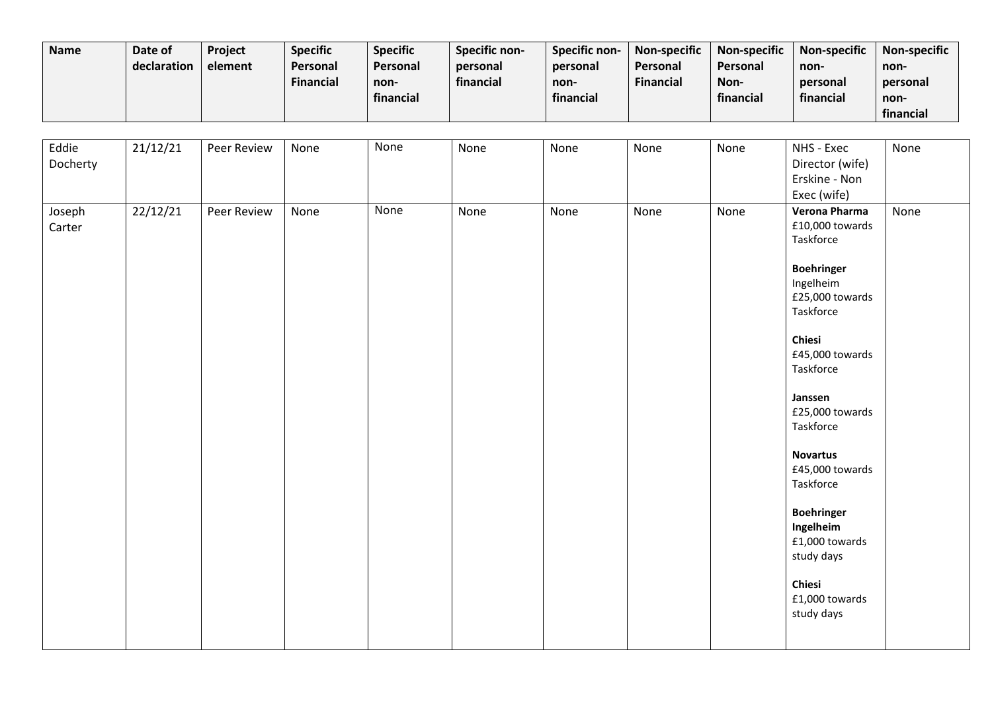| <b>Name</b> | Date of<br>declaration | Project<br>element | <b>Specific</b><br><b>Personal</b><br>Financial | <b>Specific</b><br>Personal<br>non- | <b>Specific non-</b><br>personal<br>financial | Specific non-<br>personal<br>non- | <b>Non-specific</b><br>Personal<br><b>Financial</b> | <b>Non-specific</b><br>Personal<br>Non- | <b>Non-specific</b><br>non-<br>personal | <b>Non-specific</b><br>non-<br>personal |
|-------------|------------------------|--------------------|-------------------------------------------------|-------------------------------------|-----------------------------------------------|-----------------------------------|-----------------------------------------------------|-----------------------------------------|-----------------------------------------|-----------------------------------------|
|             |                        |                    |                                                 | financial                           |                                               | financial                         |                                                     | financial                               | financial                               | non-                                    |
|             |                        |                    |                                                 |                                     |                                               |                                   |                                                     |                                         |                                         | financial                               |

| Eddie<br>Docherty | 21/12/21 | Peer Review | None | None        | None | None | None | None | NHS - Exec<br>Director (wife)<br>Erskine - Non<br>Exec (wife)                                                                                                                                                                                                                                                                                                       | None |
|-------------------|----------|-------------|------|-------------|------|------|------|------|---------------------------------------------------------------------------------------------------------------------------------------------------------------------------------------------------------------------------------------------------------------------------------------------------------------------------------------------------------------------|------|
| Joseph<br>Carter  | 22/12/21 | Peer Review | None | <b>None</b> | None | None | None | None | Verona Pharma<br>£10,000 towards<br>Taskforce<br><b>Boehringer</b><br>Ingelheim<br>£25,000 towards<br>Taskforce<br>Chiesi<br>£45,000 towards<br>Taskforce<br>Janssen<br>£25,000 towards<br>Taskforce<br><b>Novartus</b><br>£45,000 towards<br>Taskforce<br><b>Boehringer</b><br>Ingelheim<br>£1,000 towards<br>study days<br>Chiesi<br>£1,000 towards<br>study days | None |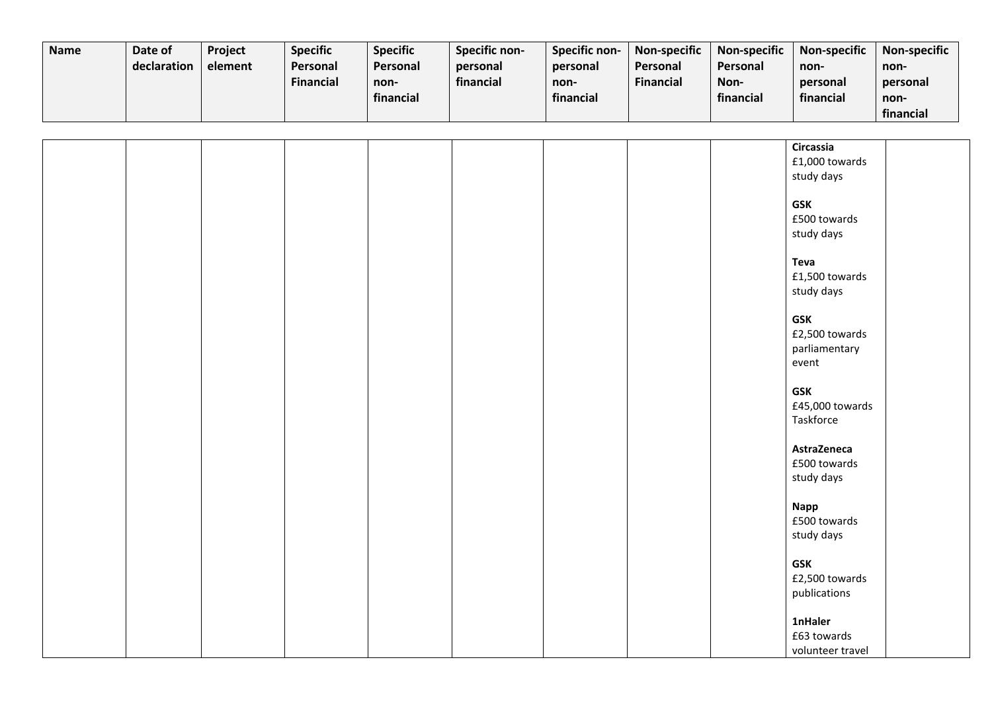| <b>Name</b> | Date of     | <b>Project</b> | <b>Specific</b>  | <b>Specific</b> | <b>Specific non-</b> | <b>Specific non-</b> | <b>Non-specific</b> | <b>Non-specific</b> | <b>Non-specific</b> | <b>Non-specific</b> |
|-------------|-------------|----------------|------------------|-----------------|----------------------|----------------------|---------------------|---------------------|---------------------|---------------------|
|             | declaration | element        | <b>Personal</b>  | <b>Personal</b> | personal             | personal             | Personal            | Personal            | non-                | non-                |
|             |             |                | <b>Financial</b> | non-            | financial            | non-                 | <b>Financial</b>    | Non-                | personal            | personal            |
|             |             |                |                  | financial       |                      | financial            |                     | financial           | financial           | non-                |
|             |             |                |                  |                 |                      |                      |                     |                     |                     | financial           |

|  |  |  |  | Circassia        |  |
|--|--|--|--|------------------|--|
|  |  |  |  | £1,000 towards   |  |
|  |  |  |  | study days       |  |
|  |  |  |  |                  |  |
|  |  |  |  | <b>GSK</b>       |  |
|  |  |  |  | £500 towards     |  |
|  |  |  |  | study days       |  |
|  |  |  |  |                  |  |
|  |  |  |  | <b>Teva</b>      |  |
|  |  |  |  | £1,500 towards   |  |
|  |  |  |  | study days       |  |
|  |  |  |  |                  |  |
|  |  |  |  | <b>GSK</b>       |  |
|  |  |  |  | £2,500 towards   |  |
|  |  |  |  | parliamentary    |  |
|  |  |  |  | event            |  |
|  |  |  |  |                  |  |
|  |  |  |  | <b>GSK</b>       |  |
|  |  |  |  | £45,000 towards  |  |
|  |  |  |  | Taskforce        |  |
|  |  |  |  |                  |  |
|  |  |  |  | AstraZeneca      |  |
|  |  |  |  | £500 towards     |  |
|  |  |  |  | study days       |  |
|  |  |  |  |                  |  |
|  |  |  |  | <b>Napp</b>      |  |
|  |  |  |  | £500 towards     |  |
|  |  |  |  | study days       |  |
|  |  |  |  |                  |  |
|  |  |  |  | <b>GSK</b>       |  |
|  |  |  |  | £2,500 towards   |  |
|  |  |  |  | publications     |  |
|  |  |  |  |                  |  |
|  |  |  |  | <b>1nHaler</b>   |  |
|  |  |  |  | £63 towards      |  |
|  |  |  |  |                  |  |
|  |  |  |  | volunteer travel |  |